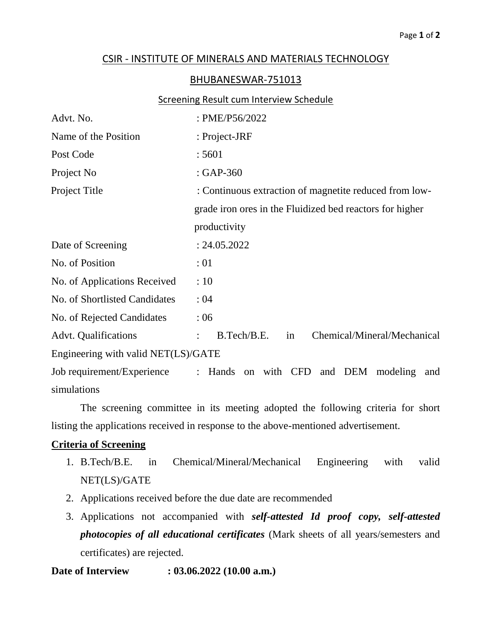# CSIR - INSTITUTE OF MINERALS AND MATERIALS TECHNOLOGY

#### BHUBANESWAR-751013

### **Screening Result cum Interview Schedule**

| Advt. No.                           | : PME/P56/2022                                                                 |  |  |  |
|-------------------------------------|--------------------------------------------------------------------------------|--|--|--|
| Name of the Position                | : Project-JRF                                                                  |  |  |  |
| Post Code                           | : 5601                                                                         |  |  |  |
| Project No                          | : GAP-360                                                                      |  |  |  |
| Project Title                       | : Continuous extraction of magnetite reduced from low-                         |  |  |  |
|                                     | grade iron ores in the Fluidized bed reactors for higher                       |  |  |  |
|                                     | productivity                                                                   |  |  |  |
| Date of Screening                   | : 24.05.2022                                                                   |  |  |  |
| No. of Position                     | :01                                                                            |  |  |  |
| No. of Applications Received        | :10                                                                            |  |  |  |
| No. of Shortlisted Candidates       | : 04                                                                           |  |  |  |
| No. of Rejected Candidates          | :06                                                                            |  |  |  |
| <b>Advt.</b> Qualifications         | Chemical/Mineral/Mechanical<br>B.Tech/B.E.<br>in                               |  |  |  |
| Engineering with valid NET(LS)/GATE |                                                                                |  |  |  |
| Job requirement/Experience          | on with CFD and DEM<br>Hands<br>modeling<br>$\mathbb{Z}^{\mathbb{Z}}$ .<br>and |  |  |  |
| simulations                         |                                                                                |  |  |  |

The screening committee in its meeting adopted the following criteria for short listing the applications received in response to the above-mentioned advertisement.

## **Criteria of Screening**

- 1. B.Tech/B.E. in Chemical/Mineral/Mechanical Engineering with valid NET(LS)/GATE
- 2. Applications received before the due date are recommended
- 3. Applications not accompanied with *self-attested Id proof copy, self-attested photocopies of all educational certificates* (Mark sheets of all years/semesters and certificates) are rejected.

## **Date of Interview : 03.06.2022 (10.00 a.m.)**